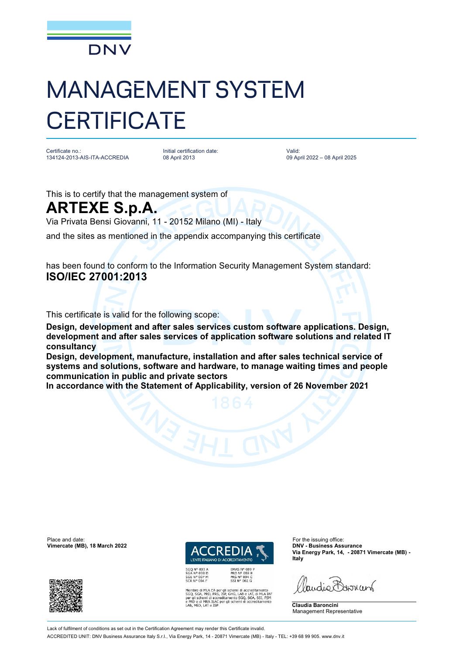

## MANAGEMENT SYSTEM **CERTIFICATE**

Certificate no.: 134124-2013-AIS-ITA-ACCREDIA Initial certification date: 08 April 2013

Valid: 09 April 2022 – 08 April 2025

This is to certify that the management system of

## **ARTEXE S.p.A.**

Via Privata Bensi Giovanni, 11 - 20152 Milano (MI) - Italy

and the sites as mentioned in the appendix accompanying this certificate

has been found to conform to the Information Security Management System standard: **ISO/IEC 27001:2013**

This certificate is valid for the following scope:

**Design, development and after sales services custom software applications. Design, development and after sales services of application software solutions and related IT consultancy** 

**Design, development, manufacture, installation and after sales technical service of systems and solutions, software and hardware, to manage waiting times and people communication in public and private sectors** 

**In accordance with the Statement of Applicability, version of 26 November 2021**

Place and date: For the issuing office:<br> **Place and date:** For the issuing office:<br> **Place and date:** For the issuing office:<br> **Place and date:** For the issuing office: **Vimercate (MB), 18 March 2022** 





di MLA EA per gli schemi di accreditamento<br>4, PRD, PRS, ISP, GHG, LAB e LAT, di MLA IAF<br>hemi di accreditamento SGQ, SGA, SSI, FSM<br>di MRA ILAC per gli schemi di accreditamento<br>0, LAT e ISP

**Via Energy Park, 14, - 20871 Vimercate (MB) - Italy**

audio Barren

**Claudia Baroncini** Management Representative

Lack of fulfilment of conditions as set out in the Certification Agreement may render this Certificate invalid ACCREDITED UNIT: DNV Business Assurance Italy S.r.l., Via Energy Park, 14 - 20871 Vimercate (MB) - Italy - TEL: +39 68 99 905. [www.dnv.it](http://www.dnv.it)